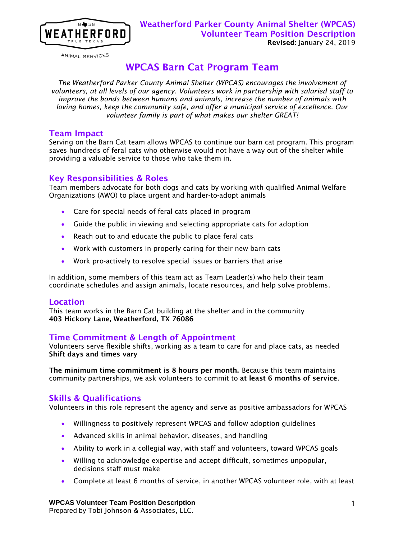

ANIMAL SERVICES

# WPCAS Barn Cat Program Team

*The Weatherford Parker County Animal Shelter (WPCAS) encourages the involvement of volunteers, at all levels of our agency. Volunteers work in partnership with salaried staff to improve the bonds between humans and animals, increase the number of animals with loving homes, keep the community safe, and offer a municipal service of excellence. Our volunteer family is part of what makes our shelter GREAT!*

### Team Impact

Serving on the Barn Cat team allows WPCAS to continue our barn cat program. This program saves hundreds of feral cats who otherwise would not have a way out of the shelter while providing a valuable service to those who take them in.

### Key Responsibilities & Roles

Team members advocate for both dogs and cats by working with qualified Animal Welfare Organizations (AWO) to place urgent and harder-to-adopt animals

- Care for special needs of feral cats placed in program
- Guide the public in viewing and selecting appropriate cats for adoption
- Reach out to and educate the public to place feral cats
- Work with customers in properly caring for their new barn cats
- Work pro-actively to resolve special issues or barriers that arise

In addition, some members of this team act as Team Leader(s) who help their team coordinate schedules and assign animals, locate resources, and help solve problems.

### Location

This team works in the Barn Cat building at the shelter and in the community 403 Hickory Lane, Weatherford, TX 76086

### Time Commitment & Length of Appointment

Volunteers serve flexible shifts, working as a team to care for and place cats, as needed Shift days and times vary

The minimum time commitment is 8 hours per month. Because this team maintains community partnerships, we ask volunteers to commit to at least 6 months of service.

### Skills & Qualifications

Volunteers in this role represent the agency and serve as positive ambassadors for WPCAS

- Willingness to positively represent WPCAS and follow adoption guidelines
- Advanced skills in animal behavior, diseases, and handling
- Ability to work in a collegial way, with staff and volunteers, toward WPCAS goals
- Willing to acknowledge expertise and accept difficult, sometimes unpopular, decisions staff must make
- Complete at least 6 months of service, in another WPCAS volunteer role, with at least

# **WPCAS Volunteer Team Position Description**

Prepared by Tobi Johnson & Associates, LLC.